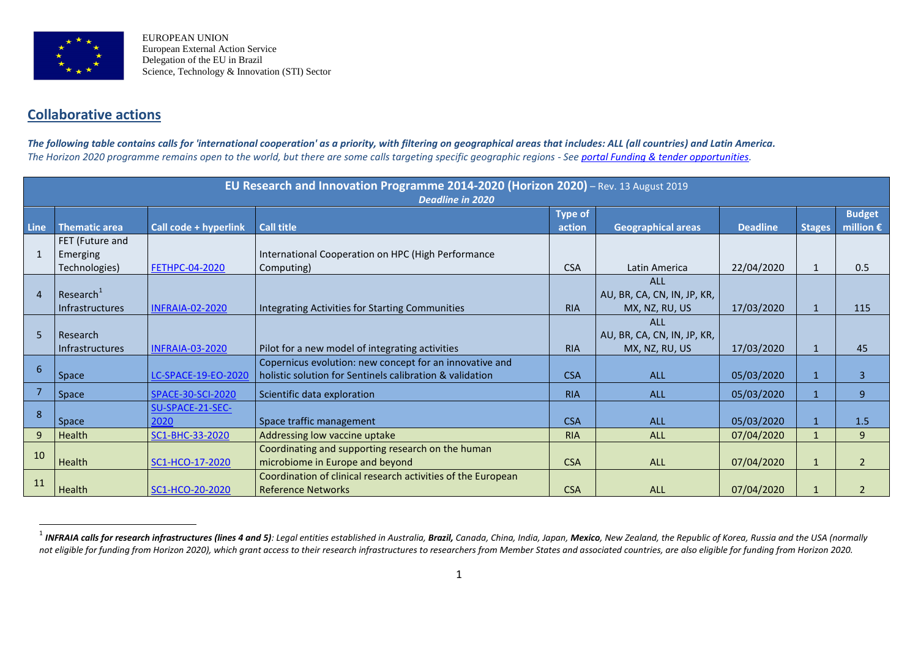

 $\overline{a}$ 

EUROPEAN UNION European External Action Service Delegation of the EU in Brazil Science, Technology & Innovation (STI) Sector

## **Collaborative actions**

*The following table contains calls for 'international cooperation' as a priority, with filtering on geographical areas that includes: ALL (all countries) and Latin America. The Horizon 2020 programme remains open to the world, but there are some calls targeting specific geographic regions - See [portal Funding & tender opportunities.](https://ec.europa.eu/info/funding-tenders/opportunities/portal/screen/opportunities/topic-search;freeTextSearchKeyword=;typeCodes=0,1;statusCodes=31094501,31094502,31094503;programCode=null;programDivisionCode=null;focusAreaCode=null;crossCuttingPriorityCode=null;callCode=Default;sortQuery=openingDate;orderBy=asc;onlyTenders=false;topicListKey=topicSearchTablePageState)*

| EU Research and Innovation Programme 2014-2020 (Horizon 2020) - Rev. 13 August 2019<br>Deadline in 2020 |                                                 |                          |                                                                                                                     |                          |                                                             |                 |               |                                     |
|---------------------------------------------------------------------------------------------------------|-------------------------------------------------|--------------------------|---------------------------------------------------------------------------------------------------------------------|--------------------------|-------------------------------------------------------------|-----------------|---------------|-------------------------------------|
| <b>Line</b>                                                                                             | <b>Thematic area</b>                            | Call code + hyperlink    | <b>Call title</b>                                                                                                   | <b>Type of</b><br>action | <b>Geographical areas</b>                                   | <b>Deadline</b> | <b>Stages</b> | <b>Budget</b><br>million $\epsilon$ |
| $\mathbf{1}$                                                                                            | FET (Future and<br>Emerging<br>Technologies)    | <b>FETHPC-04-2020</b>    | International Cooperation on HPC (High Performance<br>Computing)                                                    | <b>CSA</b>               | Latin America                                               | 22/04/2020      |               | 0.5                                 |
| $\overline{a}$                                                                                          | Research <sup>1</sup><br><b>Infrastructures</b> | <b>INFRAIA-02-2020</b>   | Integrating Activities for Starting Communities                                                                     | <b>RIA</b>               | <b>ALL</b><br>AU, BR, CA, CN, IN, JP, KR,<br>MX, NZ, RU, US | 17/03/2020      | $\mathbf{1}$  | 115                                 |
| 5                                                                                                       | Research<br><b>Infrastructures</b>              | <b>INFRAIA-03-2020</b>   | Pilot for a new model of integrating activities                                                                     | <b>RIA</b>               | <b>ALL</b><br>AU, BR, CA, CN, IN, JP, KR,<br>MX, NZ, RU, US | 17/03/2020      | $\mathbf{1}$  | 45                                  |
| 6                                                                                                       | Space                                           | LC-SPACE-19-EO-2020      | Copernicus evolution: new concept for an innovative and<br>holistic solution for Sentinels calibration & validation | <b>CSA</b>               | <b>ALL</b>                                                  | 05/03/2020      |               | 3                                   |
|                                                                                                         | Space                                           | SPACE-30-SCI-2020        | Scientific data exploration                                                                                         | <b>RIA</b>               | <b>ALL</b>                                                  | 05/03/2020      |               | 9                                   |
| 8                                                                                                       | Space                                           | SU-SPACE-21-SEC-<br>2020 | Space traffic management                                                                                            | <b>CSA</b>               | <b>ALL</b>                                                  | 05/03/2020      |               | 1.5                                 |
| 9                                                                                                       | Health                                          | SC1-BHC-33-2020          | Addressing low vaccine uptake                                                                                       | <b>RIA</b>               | ALL                                                         | 07/04/2020      |               | 9                                   |
| 10                                                                                                      | Health                                          | SC1-HCO-17-2020          | Coordinating and supporting research on the human<br>microbiome in Europe and beyond                                | <b>CSA</b>               | <b>ALL</b>                                                  | 07/04/2020      |               | $\overline{2}$                      |
| 11                                                                                                      | Health                                          | SC1-HCO-20-2020          | Coordination of clinical research activities of the European<br><b>Reference Networks</b>                           | <b>CSA</b>               | <b>ALL</b>                                                  | 07/04/2020      |               | $\overline{\phantom{a}}$            |

<sup>&</sup>lt;sup>1</sup> I**NFRAIA calls for research infrastructures (lines 4 and 5)**: Legal entities established in Australia, **Brazil,** Canada, China, India, Japan, **Mexico**, New Zealand, the Republic of Korea, Russia and the USA (normally not eligible for funding from Horizon 2020), which grant access to their research infrastructures to researchers from Member States and associated countries, are also eligible for funding from Horizon 2020.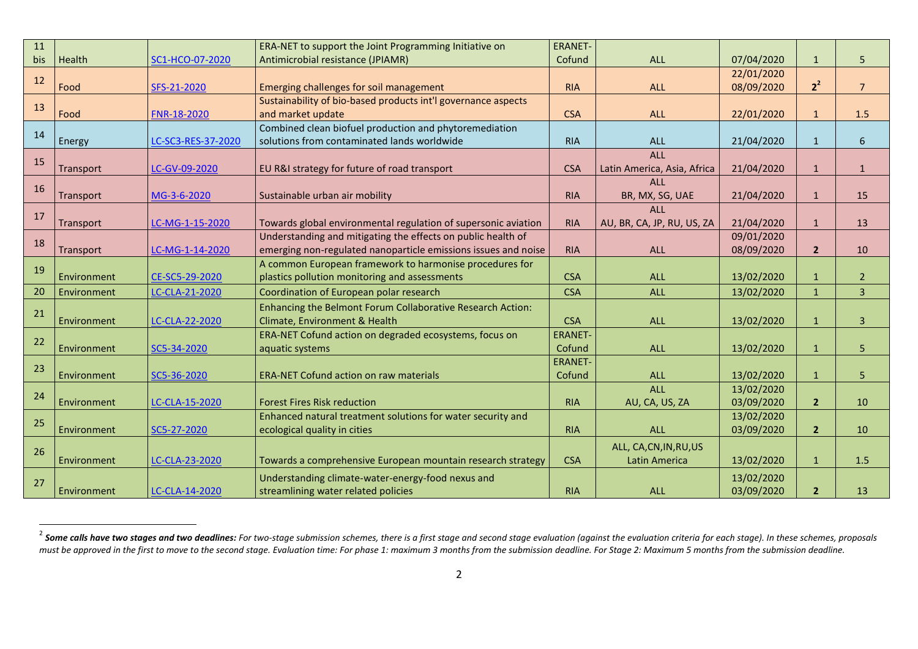| 11  |             |                    | ERA-NET to support the Joint Programming Initiative on         | <b>ERANET-</b> |                             |            |                |                |
|-----|-------------|--------------------|----------------------------------------------------------------|----------------|-----------------------------|------------|----------------|----------------|
| bis | Health      | SC1-HCO-07-2020    | Antimicrobial resistance (JPIAMR)                              | Cofund         | <b>ALL</b>                  | 07/04/2020 | $\mathbf{1}$   | 5              |
| 12  |             |                    |                                                                |                |                             | 22/01/2020 |                |                |
|     | Food        | SFS-21-2020        | Emerging challenges for soil management                        | <b>RIA</b>     | <b>ALL</b>                  | 08/09/2020 | $2^2$          | $\overline{7}$ |
| 13  |             |                    | Sustainability of bio-based products int'l governance aspects  |                |                             |            |                |                |
|     | Food        | FNR-18-2020        | and market update                                              | <b>CSA</b>     | <b>ALL</b>                  | 22/01/2020 | $\mathbf{1}$   | 1.5            |
| 14  |             |                    | Combined clean biofuel production and phytoremediation         |                |                             |            |                |                |
|     | Energy      | LC-SC3-RES-37-2020 | solutions from contaminated lands worldwide                    | <b>RIA</b>     | <b>ALL</b>                  | 21/04/2020 | $\mathbf{1}$   | 6              |
| 15  |             |                    |                                                                |                | <b>ALL</b>                  |            |                |                |
|     | Transport   | LC-GV-09-2020      | EU R&I strategy for future of road transport                   | <b>CSA</b>     | Latin America, Asia, Africa | 21/04/2020 | $\mathbf{1}$   | $\mathbf{1}$   |
| 16  |             |                    |                                                                |                | <b>ALL</b>                  |            |                |                |
|     | Transport   | MG-3-6-2020        | Sustainable urban air mobility                                 | <b>RIA</b>     | BR, MX, SG, UAE             | 21/04/2020 | $\mathbf{1}$   | 15             |
| 17  |             |                    |                                                                |                | <b>ALL</b>                  |            |                |                |
|     | Transport   | LC-MG-1-15-2020    | Towards global environmental regulation of supersonic aviation | <b>RIA</b>     | AU, BR, CA, JP, RU, US, ZA  | 21/04/2020 | $\mathbf{1}$   | 13             |
| 18  |             |                    | Understanding and mitigating the effects on public health of   |                |                             | 09/01/2020 |                |                |
|     | Transport   | LC-MG-1-14-2020    | emerging non-regulated nanoparticle emissions issues and noise | <b>RIA</b>     | <b>ALL</b>                  | 08/09/2020 | $\overline{2}$ | 10             |
| 19  |             |                    | A common European framework to harmonise procedures for        |                |                             |            |                |                |
|     | Environment | CE-SC5-29-2020     | plastics pollution monitoring and assessments                  | <b>CSA</b>     | <b>ALL</b>                  | 13/02/2020 | $\mathbf{1}$   | $\overline{2}$ |
| 20  | Environment | LC-CLA-21-2020     | Coordination of European polar research                        | <b>CSA</b>     | <b>ALL</b>                  | 13/02/2020 | $\mathbf{1}$   | 3              |
| 21  |             |                    | Enhancing the Belmont Forum Collaborative Research Action:     |                |                             |            |                |                |
|     | Environment | LC-CLA-22-2020     | Climate, Environment & Health                                  | <b>CSA</b>     | <b>ALL</b>                  | 13/02/2020 | $\mathbf{1}$   | $\overline{3}$ |
| 22  |             |                    | ERA-NET Cofund action on degraded ecosystems, focus on         | <b>ERANET-</b> |                             |            |                |                |
|     | Environment | SC5-34-2020        | aquatic systems                                                | Cofund         | <b>ALL</b>                  | 13/02/2020 | $\mathbf{1}$   | 5              |
| 23  |             |                    |                                                                | <b>ERANET-</b> |                             |            |                |                |
|     | Environment | SC5-36-2020        | <b>ERA-NET Cofund action on raw materials</b>                  | Cofund         | <b>ALL</b>                  | 13/02/2020 | $\mathbf{1}$   | 5              |
| 24  |             |                    |                                                                |                | <b>ALL</b>                  | 13/02/2020 |                |                |
|     | Environment | LC-CLA-15-2020     | <b>Forest Fires Risk reduction</b>                             | <b>RIA</b>     | AU, CA, US, ZA              | 03/09/2020 | $\overline{2}$ | 10             |
| 25  |             |                    | Enhanced natural treatment solutions for water security and    |                |                             | 13/02/2020 |                |                |
|     | Environment | SC5-27-2020        | ecological quality in cities                                   | <b>RIA</b>     | <b>ALL</b>                  | 03/09/2020 | $\overline{2}$ | 10             |
| 26  |             |                    |                                                                |                | ALL, CA, CN, IN, RU, US     |            |                |                |
|     | Environment | LC-CLA-23-2020     | Towards a comprehensive European mountain research strategy    | <b>CSA</b>     | Latin America               | 13/02/2020 | $\mathbf{1}$   | 1.5            |
|     |             |                    | Understanding climate-water-energy-food nexus and              |                |                             | 13/02/2020 |                |                |
| 27  | Environment | LC-CLA-14-2020     | streamlining water related policies                            | <b>RIA</b>     | <b>ALL</b>                  | 03/09/2020 | $\overline{2}$ | 13             |

 $^2$  Some calls have two stages and two deadlines: For two-stage submission schemes, there is a first stage and second stage evaluation (against the evaluation criteria for each stage). In these schemes, proposals must be approved in the first to move to the second stage. Evaluation time: For phase 1: maximum 3 months from the submission deadline. For Stage 2: Maximum 5 months from the submission deadline.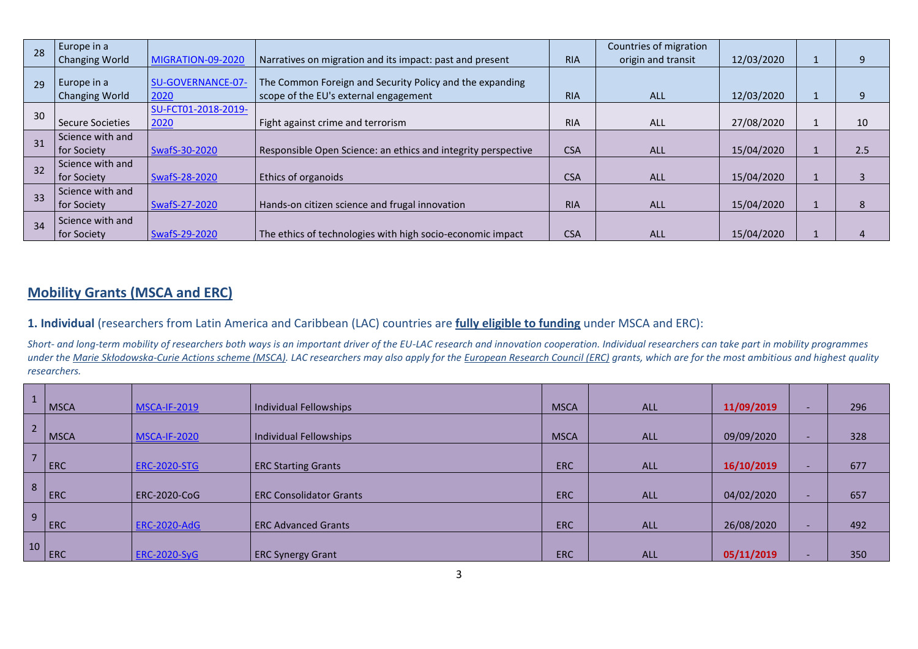| 28 | Europe in a<br><b>Changing World</b> | MIGRATION-09-2020   | Narratives on migration and its impact: past and present      | <b>RIA</b> | Countries of migration<br>origin and transit | 12/03/2020 |     |
|----|--------------------------------------|---------------------|---------------------------------------------------------------|------------|----------------------------------------------|------------|-----|
|    |                                      |                     |                                                               |            |                                              |            |     |
| 29 | Europe in a                          | SU-GOVERNANCE-07-   | The Common Foreign and Security Policy and the expanding      |            |                                              |            |     |
|    | <b>Changing World</b>                | 2020                | scope of the EU's external engagement                         | <b>RIA</b> | ALL                                          | 12/03/2020 |     |
| 30 |                                      | SU-FCT01-2018-2019- |                                                               |            |                                              |            |     |
|    | Secure Societies                     | 2020                | Fight against crime and terrorism                             | <b>RIA</b> | <b>ALL</b>                                   | 27/08/2020 | 10  |
|    | Science with and                     |                     |                                                               |            |                                              |            |     |
| 31 | for Society                          | SwafS-30-2020       | Responsible Open Science: an ethics and integrity perspective | <b>CSA</b> | <b>ALL</b>                                   | 15/04/2020 | 2.5 |
| 32 | Science with and                     |                     |                                                               |            |                                              |            |     |
|    | for Society                          | SwafS-28-2020       | <b>Ethics of organoids</b>                                    | <b>CSA</b> | <b>ALL</b>                                   | 15/04/2020 |     |
| 33 | Science with and                     |                     |                                                               |            |                                              |            |     |
|    | for Society                          | SwafS-27-2020       | Hands-on citizen science and frugal innovation                | <b>RIA</b> | <b>ALL</b>                                   | 15/04/2020 |     |
| 34 | Science with and                     |                     |                                                               |            |                                              |            |     |
|    | for Society                          | SwafS-29-2020       | The ethics of technologies with high socio-economic impact    | <b>CSA</b> | <b>ALL</b>                                   | 15/04/2020 |     |

## **Mobility Grants (MSCA and ERC)**

**1. Individual** (researchers from Latin America and Caribbean (LAC) countries are **fully eligible to funding** under MSCA and ERC):

*Short- and long-term mobility of researchers both ways is an important driver of the EU-LAC research and innovation cooperation. Individual researchers can take part in mobility programmes under the Marie Skłodowska-Curie Actions scheme (MSCA). LAC researchers may also apply for the European Research Council (ERC) grants, which are for the most ambitious and highest quality researchers.* 

|                | <b>MSCA</b> | <b>MSCA-IF-2019</b> | Individual Fellowships         | <b>MSCA</b> | <b>ALL</b> | 11/09/2019 |                          | 296 |
|----------------|-------------|---------------------|--------------------------------|-------------|------------|------------|--------------------------|-----|
| 2 <sup>1</sup> | <b>MSCA</b> | <b>MSCA-IF-2020</b> | Individual Fellowships         | <b>MSCA</b> | <b>ALL</b> | 09/09/2020 | $\overline{\phantom{0}}$ | 328 |
| $\overline{ }$ | <b>ERC</b>  | <b>ERC-2020-STG</b> | <b>ERC Starting Grants</b>     | <b>ERC</b>  | <b>ALL</b> | 16/10/2019 |                          | 677 |
| 8 <sup>°</sup> | ERC         | <b>ERC-2020-CoG</b> | <b>ERC Consolidator Grants</b> | <b>ERC</b>  | <b>ALL</b> | 04/02/2020 |                          | 657 |
| 9              | <b>ERC</b>  | <b>ERC-2020-AdG</b> | <b>ERC Advanced Grants</b>     | <b>ERC</b>  | <b>ALL</b> | 26/08/2020 |                          | 492 |
| 10             | ERC         | <b>ERC-2020-SyG</b> | <b>ERC Synergy Grant</b>       | <b>ERC</b>  | <b>ALL</b> | 05/11/2019 |                          | 350 |